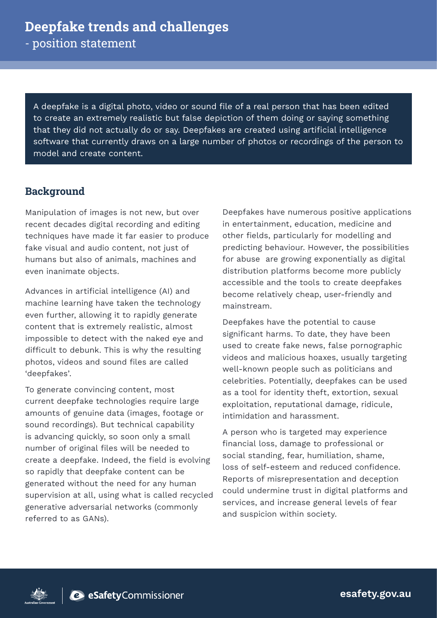# **Deepfake trends and challenges**

- position statement

A deepfake is a digital photo, video or sound file of a real person that has been edited to create an extremely realistic but false depiction of them doing or saying something that they did not actually do or say. Deepfakes are created using artificial intelligence software that currently draws on a large number of photos or recordings of the person to model and create content.

#### **Background**

Manipulation of images is not new, but over recent decades digital recording and editing techniques have made it far easier to produce fake visual and audio content, not just of humans but also of animals, machines and even inanimate objects.

Advances in artificial intelligence (AI) and machine learning have taken the technology even further, allowing it to rapidly generate content that is extremely realistic, almost impossible to detect with the naked eye and difficult to debunk. This is why the resulting photos, videos and sound files are called 'deepfakes'.

To generate convincing content, most current deepfake technologies require large amounts of genuine data (images, footage or sound recordings). But technical capability is advancing quickly, so soon only a small number of original files will be needed to create a deepfake. Indeed, the field is evolving so rapidly that deepfake content can be generated without the need for any human supervision at all, using what is called recycled generative adversarial networks (commonly referred to as GANs).

Deepfakes have numerous positive applications in entertainment, education, medicine and other fields, particularly for modelling and predicting behaviour. However, the possibilities for abuse are growing exponentially as digital distribution platforms become more publicly accessible and the tools to create deepfakes become relatively cheap, user-friendly and mainstream.

Deepfakes have the potential to cause significant harms. To date, they have been used to create fake news, false pornographic videos and malicious hoaxes, usually targeting well-known people such as politicians and celebrities. Potentially, deepfakes can be used as a tool for identity theft, extortion, sexual exploitation, reputational damage, ridicule, intimidation and harassment.

A person who is targeted may experience financial loss, damage to professional or social standing, fear, humiliation, shame, loss of self-esteem and reduced confidence. Reports of misrepresentation and deception could undermine trust in digital platforms and services, and increase general levels of fear and suspicion within society.



esafety.gov.au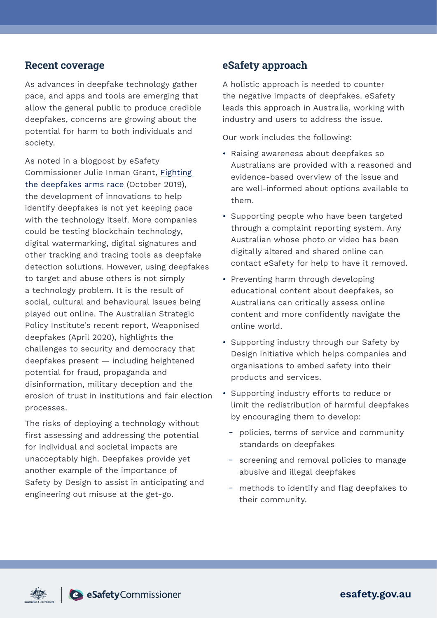#### **Recent coverage**

As advances in deepfake technology gather pace, and apps and tools are emerging that allow the general public to produce credible deepfakes, concerns are growing about the potential for harm to both individuals and society.

As noted in a blogpost by eSafety Commissioner Julie Inman Grant, [Fighting](https://www.esafety.gov.au/newsroom/blogs/fighting-deepfakes-arms-race)  [the deepfakes arms race](https://www.esafety.gov.au/newsroom/blogs/fighting-deepfakes-arms-race) (October 2019), the development of innovations to help identify deepfakes is not yet keeping pace with the technology itself. More companies could be testing blockchain technology, digital watermarking, digital signatures and other tracking and tracing tools as deepfake detection solutions. However, using deepfakes to target and abuse others is not simply a technology problem. It is the result of social, cultural and behavioural issues being played out online. The Australian Strategic Policy Institute's recent report, Weaponised deepfakes (April 2020), highlights the challenges to security and democracy that deepfakes present — including heightened potential for fraud, propaganda and disinformation, military deception and the erosion of trust in institutions and fair election processes.

The risks of deploying a technology without first assessing and addressing the potential for individual and societal impacts are unacceptably high. Deepfakes provide yet another example of the importance of Safety by Design to assist in anticipating and engineering out misuse at the get-go.

### **eSafety approach**

A holistic approach is needed to counter the negative impacts of deepfakes. eSafety leads this approach in Australia, working with industry and users to address the issue.

Our work includes the following:

- Raising awareness about deepfakes so Australians are provided with a reasoned and evidence-based overview of the issue and are well-informed about options available to them.
- Supporting people who have been targeted through a complaint reporting system. Any Australian whose photo or video has been digitally altered and shared online can contact eSafety for help to have it removed.
- Preventing harm through developing educational content about deepfakes, so Australians can critically assess online content and more confidently navigate the online world.
- Supporting industry through our Safety by Design initiative which helps companies and organisations to embed safety into their products and services.
- Supporting industry efforts to reduce or limit the redistribution of harmful deepfakes by encouraging them to develop:
	- policies, terms of service and community standards on deepfakes
	- screening and removal policies to manage abusive and illegal deepfakes
	- methods to identify and flag deepfakes to their community.



esafety.gov.au